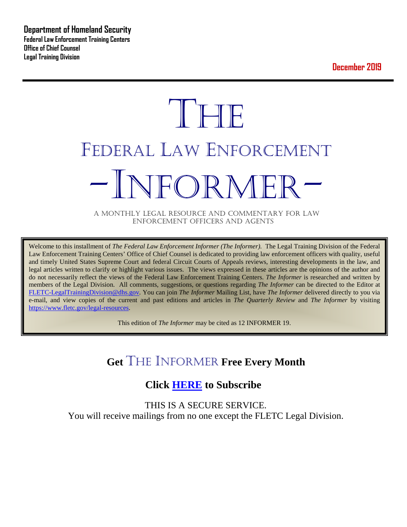**December 2019**



A MONTHLY LEGAL RESOURCE AND COMMENTARY FOR LAW ENFORCEMENT OFFICERS AND AGENTS

Welcome to this installment of *The Federal Law Enforcement Informer (The Informer).* The Legal Training Division of the Federal Law Enforcement Training Centers' Office of Chief Counsel is dedicated to providing law enforcement officers with quality, useful and timely United States Supreme Court and federal Circuit Courts of Appeals reviews, interesting developments in the law, and legal articles written to clarify or highlight various issues. The views expressed in these articles are the opinions of the author and do not necessarily reflect the views of the Federal Law Enforcement Training Centers. *The Informer* is researched and written by members of the Legal Division. All comments, suggestions, or questions regarding *The Informer* can be directed to the Editor at [FLETC-LegalTrainingDivision@dhs.gov.](mailto:FLETC-LegalTrainingDivision@dhs.gov) You can join *The Informer* Mailing List, have *The Informer* delivered directly to you via e-mail, and view copies of the current and past editions and articles in *The Quarterly Review* and *The Informer* by visiting [https://www.fletc.gov/legal-resources.](https://www.fletc.gov/legal-resources)

This edition of *The Informer* may be cited as 12 INFORMER 19.

## **Get** THE INFORMER **Free Every Month**

## **Click [HERE](https://app.co-sender.com/opt-in/list/7b007eab-378b-4542-807f-44d6de94cb7e) to Subscribe**

THIS IS A SECURE SERVICE. You will receive mailings from no one except the FLETC Legal Division.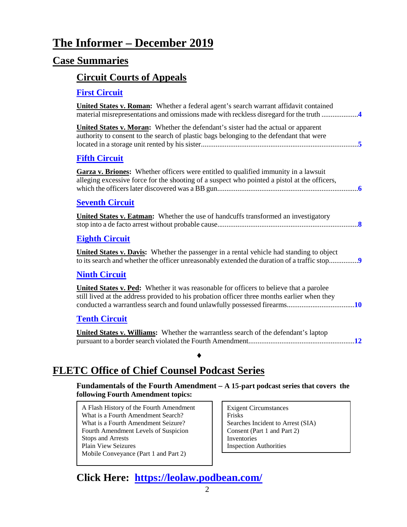# **The Informer – December 2019**

## **Case Summaries**

## **[Circuit Courts of Appeals](#page-3-0)**

### **[First Circuit](#page-3-1)**

| <b>United States v. Roman:</b> Whether a federal agent's search warrant affidavit contained<br>material misrepresentations and omissions made with reckless disregard for the truth 4          |
|------------------------------------------------------------------------------------------------------------------------------------------------------------------------------------------------|
| <b>United States v. Moran:</b> Whether the defendant's sister had the actual or apparent<br>authority to consent to the search of plastic bags belonging to the defendant that were            |
| <b>Fifth Circuit</b>                                                                                                                                                                           |
| Garza v. Briones: Whether officers were entitled to qualified immunity in a lawsuit<br>alleging excessive force for the shooting of a suspect who pointed a pistol at the officers,            |
| <b>Seventh Circuit</b>                                                                                                                                                                         |
| <b>United States v. Eatman:</b> Whether the use of handcuffs transformed an investigatory                                                                                                      |
| <b>Eighth Circuit</b>                                                                                                                                                                          |
| <b>United States v. Davis:</b> Whether the passenger in a rental vehicle had standing to object<br>to its search and whether the officer unreasonably extended the duration of a traffic stop9 |
| <b>Ninth Circuit</b>                                                                                                                                                                           |
| United States v. Ped: Whether it was reasonable for officers to believe that a parolee<br>still lived at the address provided to his probation officer three months earlier when they          |
|                                                                                                                                                                                                |
| <b>Tenth Circuit</b>                                                                                                                                                                           |
| <b>United States v. Williams:</b> Whether the warrantless search of the defendant's laptop                                                                                                     |

## **FLETC Office of Chief Counsel Podcast Series**

**Fundamentals of the Fourth Amendment – A 15-part podcast series that covers the following Fourth Amendment topics:** 

A Flash History of the Fourth Amendment What is a Fourth Amendment Search? What is a Fourth Amendment Seizure? Fourth Amendment Levels of Suspicion Stops and Arrests Plain View Seizures Mobile Conveyance (Part 1 and Part 2)

Exigent Circumstances Frisks Searches Incident to Arrest (SIA) Consent (Part 1 and Part 2) Inventories Inspection Authorities

**Click Here: <https://leolaw.podbean.com/>**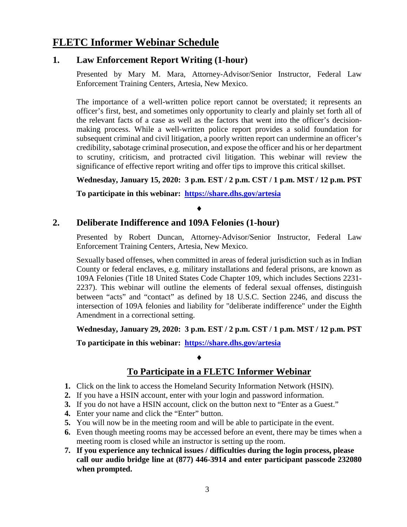## **FLETC Informer Webinar Schedule**

### **1. Law Enforcement Report Writing (1-hour)**

Presented by Mary M. Mara, Attorney-Advisor/Senior Instructor, Federal Law Enforcement Training Centers, Artesia, New Mexico.

The importance of a well-written police report cannot be overstated; it represents an officer's first, best, and sometimes only opportunity to clearly and plainly set forth all of the relevant facts of a case as well as the factors that went into the officer's decisionmaking process. While a well-written police report provides a solid foundation for subsequent criminal and civil litigation, a poorly written report can undermine an officer's credibility, sabotage criminal prosecution, and expose the officer and his or her department to scrutiny, criticism, and protracted civil litigation. This webinar will review the significance of effective report writing and offer tips to improve this critical skillset.

### **Wednesday, January 15, 2020: 3 p.m. EST / 2 p.m. CST / 1 p.m. MST / 12 p.m. PST**

**To participate in this webinar: <https://share.dhs.gov/artesia>**

### ♦

### **2. Deliberate Indifference and 109A Felonies (1-hour)**

Presented by Robert Duncan, Attorney-Advisor/Senior Instructor, Federal Law Enforcement Training Centers, Artesia, New Mexico.

Sexually based offenses, when committed in areas of federal jurisdiction such as in Indian County or federal enclaves, e.g. military installations and federal prisons, are known as 109A Felonies (Title 18 United States Code Chapter 109, which includes Sections 2231- 2237). This webinar will outline the elements of federal sexual offenses, distinguish between "acts" and "contact" as defined by 18 U.S.C. Section 2246, and discuss the intersection of 109A felonies and liability for "deliberate indifference" under the Eighth Amendment in a correctional setting.

### **Wednesday, January 29, 2020: 3 p.m. EST / 2 p.m. CST / 1 p.m. MST / 12 p.m. PST**

**To participate in this webinar: <https://share.dhs.gov/artesia>**

## **To Participate in a FLETC Informer Webinar**

**1.** Click on the link to access the Homeland Security Information Network (HSIN).

♦

- **2.** If you have a HSIN account, enter with your login and password information.
- **3.** If you do not have a HSIN account, click on the button next to "Enter as a Guest."
- **4.** Enter your name and click the "Enter" button.
- **5.** You will now be in the meeting room and will be able to participate in the event.
- **6.** Even though meeting rooms may be accessed before an event, there may be times when a meeting room is closed while an instructor is setting up the room.
- **7. If you experience any technical issues / difficulties during the login process, please call our audio bridge line at (877) 446-3914 and enter participant passcode 232080 when prompted.**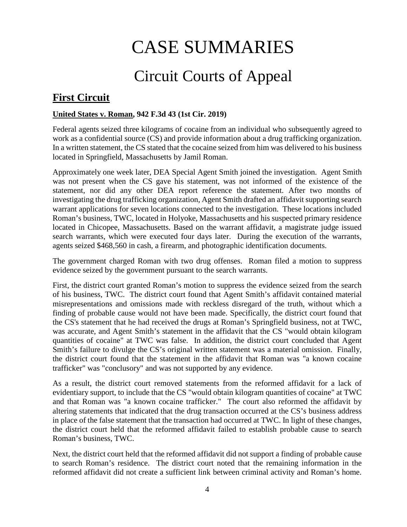# CASE SUMMARIES

# Circuit Courts of Appeal

## <span id="page-3-1"></span><span id="page-3-0"></span>**First Circuit**

### <span id="page-3-2"></span>**United States v. Roman, 942 F.3d 43 (1st Cir. 2019)**

Federal agents seized three kilograms of cocaine from an individual who subsequently agreed to work as a confidential source (CS) and provide information about a drug trafficking organization. In a written statement, the CS stated that the cocaine seized from him was delivered to his business located in Springfield, Massachusetts by Jamil Roman.

Approximately one week later, DEA Special Agent Smith joined the investigation. Agent Smith was not present when the CS gave his statement, was not informed of the existence of the statement, nor did any other DEA report reference the statement. After two months of investigating the drug trafficking organization, Agent Smith drafted an affidavit supporting search warrant applications for seven locations connected to the investigation. These locations included Roman's business, TWC, located in Holyoke, Massachusetts and his suspected primary residence located in Chicopee, Massachusetts. Based on the warrant affidavit, a magistrate judge issued search warrants, which were executed four days later. During the execution of the warrants, agents seized \$468,560 in cash, a firearm, and photographic identification documents.

The government charged Roman with two drug offenses. Roman filed a motion to suppress evidence seized by the government pursuant to the search warrants.

First, the district court granted Roman's motion to suppress the evidence seized from the search of his business, TWC. The district court found that Agent Smith's affidavit contained material misrepresentations and omissions made with reckless disregard of the truth, without which a finding of probable cause would not have been made. Specifically, the district court found that the CS's statement that he had received the drugs at Roman's Springfield business, not at TWC, was accurate, and Agent Smith's statement in the affidavit that the CS "would obtain kilogram quantities of cocaine" at TWC was false. In addition, the district court concluded that Agent Smith's failure to divulge the CS's original written statement was a material omission. Finally, the district court found that the statement in the affidavit that Roman was "a known cocaine trafficker" was "conclusory" and was not supported by any evidence.

As a result, the district court removed statements from the reformed affidavit for a lack of evidentiary support, to include that the CS "would obtain kilogram quantities of cocaine" at TWC and that Roman was "a known cocaine trafficker." The court also reformed the affidavit by altering statements that indicated that the drug transaction occurred at the CS's business address in place of the false statement that the transaction had occurred at TWC. In light of these changes, the district court held that the reformed affidavit failed to establish probable cause to search Roman's business, TWC.

Next, the district court held that the reformed affidavit did not support a finding of probable cause to search Roman's residence. The district court noted that the remaining information in the reformed affidavit did not create a sufficient link between criminal activity and Roman's home.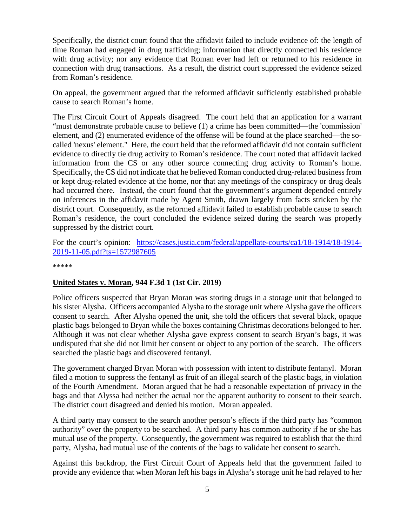Specifically, the district court found that the affidavit failed to include evidence of: the length of time Roman had engaged in drug trafficking; information that directly connected his residence with drug activity; nor any evidence that Roman ever had left or returned to his residence in connection with drug transactions. As a result, the district court suppressed the evidence seized from Roman's residence.

On appeal, the government argued that the reformed affidavit sufficiently established probable cause to search Roman's home.

The First Circuit Court of Appeals disagreed. The court held that an application for a warrant "must demonstrate probable cause to believe (1) a crime has been committed—the 'commission' element, and (2) enumerated evidence of the offense will be found at the place searched—the socalled 'nexus' element." Here, the court held that the reformed affidavit did not contain sufficient evidence to directly tie drug activity to Roman's residence. The court noted that affidavit lacked information from the CS or any other source connecting drug activity to Roman's home. Specifically, the CS did not indicate that he believed Roman conducted drug-related business from or kept drug-related evidence at the home, nor that any meetings of the conspiracy or drug deals had occurred there. Instead, the court found that the government's argument depended entirely on inferences in the affidavit made by Agent Smith, drawn largely from facts stricken by the district court. Consequently, as the reformed affidavit failed to establish probable cause to search Roman's residence, the court concluded the evidence seized during the search was properly suppressed by the district court.

For the court's opinion: [https://cases.justia.com/federal/appellate-courts/ca1/18-1914/18-1914-](https://cases.justia.com/federal/appellate-courts/ca1/18-1914/18-1914-2019-11-05.pdf?ts=1572987605) [2019-11-05.pdf?ts=1572987605](https://cases.justia.com/federal/appellate-courts/ca1/18-1914/18-1914-2019-11-05.pdf?ts=1572987605)

\*\*\*\*\*

#### <span id="page-4-0"></span>**United States v. Moran, 944 F.3d 1 (1st Cir. 2019)**

Police officers suspected that Bryan Moran was storing drugs in a storage unit that belonged to his sister Alysha. Officers accompanied Alysha to the storage unit where Alysha gave the officers consent to search. After Alysha opened the unit, she told the officers that several black, opaque plastic bags belonged to Bryan while the boxes containing Christmas decorations belonged to her. Although it was not clear whether Alysha gave express consent to search Bryan's bags, it was undisputed that she did not limit her consent or object to any portion of the search. The officers searched the plastic bags and discovered fentanyl.

The government charged Bryan Moran with possession with intent to distribute fentanyl. Moran filed a motion to suppress the fentanyl as fruit of an illegal search of the plastic bags, in violation of the Fourth Amendment. Moran argued that he had a reasonable expectation of privacy in the bags and that Alyssa had neither the actual nor the apparent authority to consent to their search. The district court disagreed and denied his motion. Moran appealed.

A third party may consent to the search another person's effects if the third party has "common authority" over the property to be searched. A third party has common authority if he or she has mutual use of the property. Consequently, the government was required to establish that the third party, Alysha, had mutual use of the contents of the bags to validate her consent to search.

Against this backdrop, the First Circuit Court of Appeals held that the government failed to provide any evidence that when Moran left his bags in Alysha's storage unit he had relayed to her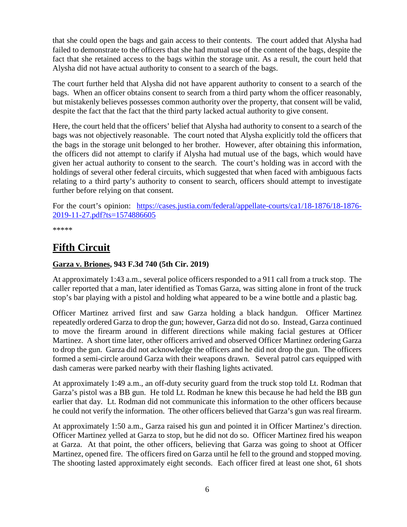that she could open the bags and gain access to their contents. The court added that Alysha had failed to demonstrate to the officers that she had mutual use of the content of the bags, despite the fact that she retained access to the bags within the storage unit. As a result, the court held that Alysha did not have actual authority to consent to a search of the bags.

The court further held that Alysha did not have apparent authority to consent to a search of the bags. When an officer obtains consent to search from a third party whom the officer reasonably, but mistakenly believes possesses common authority over the property, that consent will be valid, despite the fact that the fact that the third party lacked actual authority to give consent.

Here, the court held that the officers' belief that Alysha had authority to consent to a search of the bags was not objectively reasonable. The court noted that Alysha explicitly told the officers that the bags in the storage unit belonged to her brother. However, after obtaining this information, the officers did not attempt to clarify if Alysha had mutual use of the bags, which would have given her actual authority to consent to the search. The court's holding was in accord with the holdings of several other federal circuits, which suggested that when faced with ambiguous facts relating to a third party's authority to consent to search, officers should attempt to investigate further before relying on that consent.

For the court's opinion: [https://cases.justia.com/federal/appellate-courts/ca1/18-1876/18-1876-](https://cases.justia.com/federal/appellate-courts/ca1/18-1876/18-1876-2019-11-27.pdf?ts=1574886605) [2019-11-27.pdf?ts=1574886605](https://cases.justia.com/federal/appellate-courts/ca1/18-1876/18-1876-2019-11-27.pdf?ts=1574886605)

\*\*\*\*\*

## <span id="page-5-0"></span>**Fifth Circuit**

### <span id="page-5-1"></span>**Garza v. Briones, 943 F.3d 740 (5th Cir. 2019)**

At approximately 1:43 a.m., several police officers responded to a 911 call from a truck stop. The caller reported that a man, later identified as Tomas Garza, was sitting alone in front of the truck stop's bar playing with a pistol and holding what appeared to be a wine bottle and a plastic bag.

Officer Martinez arrived first and saw Garza holding a black handgun. Officer Martinez repeatedly ordered Garza to drop the gun; however, Garza did not do so. Instead, Garza continued to move the firearm around in different directions while making facial gestures at Officer Martinez. A short time later, other officers arrived and observed Officer Martinez ordering Garza to drop the gun. Garza did not acknowledge the officers and he did not drop the gun. The officers formed a semi-circle around Garza with their weapons drawn. Several patrol cars equipped with dash cameras were parked nearby with their flashing lights activated.

At approximately 1:49 a.m., an off-duty security guard from the truck stop told Lt. Rodman that Garza's pistol was a BB gun. He told Lt. Rodman he knew this because he had held the BB gun earlier that day. Lt. Rodman did not communicate this information to the other officers because he could not verify the information. The other officers believed that Garza's gun was real firearm.

At approximately 1:50 a.m., Garza raised his gun and pointed it in Officer Martinez's direction. Officer Martinez yelled at Garza to stop, but he did not do so. Officer Martinez fired his weapon at Garza. At that point, the other officers, believing that Garza was going to shoot at Officer Martinez, opened fire. The officers fired on Garza until he fell to the ground and stopped moving. The shooting lasted approximately eight seconds. Each officer fired at least one shot, 61 shots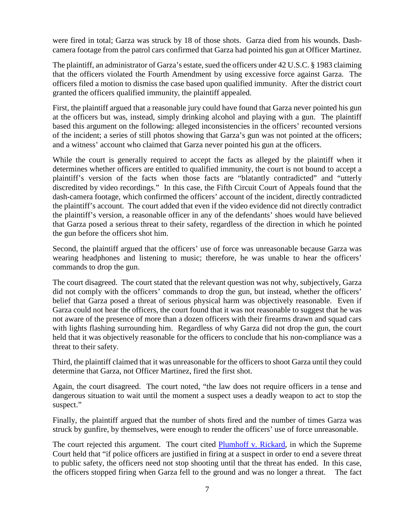were fired in total; Garza was struck by 18 of those shots. Garza died from his wounds. Dashcamera footage from the patrol cars confirmed that Garza had pointed his gun at Officer Martinez.

The plaintiff, an administrator of Garza's estate, sued the officers under 42 U.S.C. § 1983 claiming that the officers violated the Fourth Amendment by using excessive force against Garza. The officers filed a motion to dismiss the case based upon qualified immunity. After the district court granted the officers qualified immunity, the plaintiff appealed.

First, the plaintiff argued that a reasonable jury could have found that Garza never pointed his gun at the officers but was, instead, simply drinking alcohol and playing with a gun. The plaintiff based this argument on the following: alleged inconsistencies in the officers' recounted versions of the incident; a series of still photos showing that Garza's gun was not pointed at the officers; and a witness' account who claimed that Garza never pointed his gun at the officers.

While the court is generally required to accept the facts as alleged by the plaintiff when it determines whether officers are entitled to qualified immunity, the court is not bound to accept a plaintiff's version of the facts when those facts are "blatantly contradicted" and "utterly discredited by video recordings." In this case, the Fifth Circuit Court of Appeals found that the dash-camera footage, which confirmed the officers' account of the incident, directly contradicted the plaintiff's account. The court added that even if the video evidence did not directly contradict the plaintiff's version, a reasonable officer in any of the defendants' shoes would have believed that Garza posed a serious threat to their safety, regardless of the direction in which he pointed the gun before the officers shot him.

Second, the plaintiff argued that the officers' use of force was unreasonable because Garza was wearing headphones and listening to music; therefore, he was unable to hear the officers' commands to drop the gun.

The court disagreed. The court stated that the relevant question was not why, subjectively, Garza did not comply with the officers' commands to drop the gun, but instead, whether the officers' belief that Garza posed a threat of serious physical harm was objectively reasonable. Even if Garza could not hear the officers, the court found that it was not reasonable to suggest that he was not aware of the presence of more than a dozen officers with their firearms drawn and squad cars with lights flashing surrounding him. Regardless of why Garza did not drop the gun, the court held that it was objectively reasonable for the officers to conclude that his non-compliance was a threat to their safety.

Third, the plaintiff claimed that it was unreasonable for the officers to shoot Garza until they could determine that Garza, not Officer Martinez, fired the first shot.

Again, the court disagreed. The court noted, "the law does not require officers in a tense and dangerous situation to wait until the moment a suspect uses a deadly weapon to act to stop the suspect."

Finally, the plaintiff argued that the number of shots fired and the number of times Garza was struck by gunfire, by themselves, were enough to render the officers' use of force unreasonable.

The court rejected this argument. The court cited [Plumhoff v. Rickard,](https://www.supremecourt.gov/opinions/13pdf/12-1117_1bn5.pdf) in which the Supreme Court held that "if police officers are justified in firing at a suspect in order to end a severe threat to public safety, the officers need not stop shooting until that the threat has ended. In this case, the officers stopped firing when Garza fell to the ground and was no longer a threat. The fact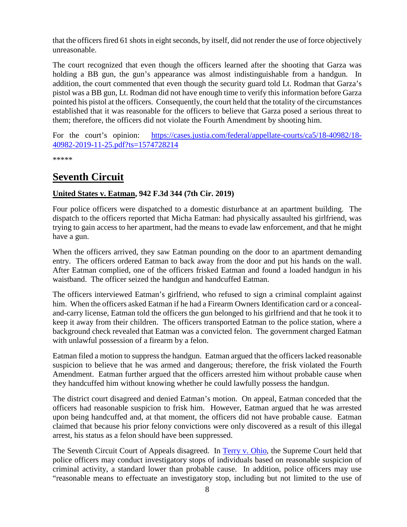that the officers fired 61 shots in eight seconds, by itself, did not render the use of force objectively unreasonable.

The court recognized that even though the officers learned after the shooting that Garza was holding a BB gun, the gun's appearance was almost indistinguishable from a handgun. In addition, the court commented that even though the security guard told Lt. Rodman that Garza's pistol was a BB gun, Lt. Rodman did not have enough time to verify this information before Garza pointed his pistol at the officers. Consequently, the court held that the totality of the circumstances established that it was reasonable for the officers to believe that Garza posed a serious threat to them; therefore, the officers did not violate the Fourth Amendment by shooting him.

For the court's opinion: [https://cases.justia.com/federal/appellate-courts/ca5/18-40982/18-](https://cases.justia.com/federal/appellate-courts/ca5/18-40982/18-40982-2019-11-25.pdf?ts=1574728214) [40982-2019-11-25.pdf?ts=1574728214](https://cases.justia.com/federal/appellate-courts/ca5/18-40982/18-40982-2019-11-25.pdf?ts=1574728214)

\*\*\*\*\*

## <span id="page-7-0"></span>**Seventh Circuit**

### <span id="page-7-1"></span>**United States v. Eatman, 942 F.3d 344 (7th Cir. 2019)**

Four police officers were dispatched to a domestic disturbance at an apartment building. The dispatch to the officers reported that Micha Eatman: had physically assaulted his girlfriend, was trying to gain access to her apartment, had the means to evade law enforcement, and that he might have a gun.

When the officers arrived, they saw Eatman pounding on the door to an apartment demanding entry. The officers ordered Eatman to back away from the door and put his hands on the wall. After Eatman complied, one of the officers frisked Eatman and found a loaded handgun in his waistband. The officer seized the handgun and handcuffed Eatman.

The officers interviewed Eatman's girlfriend, who refused to sign a criminal complaint against him. When the officers asked Eatman if he had a Firearm Owners Identification card or a concealand-carry license, Eatman told the officers the gun belonged to his girlfriend and that he took it to keep it away from their children. The officers transported Eatman to the police station, where a background check revealed that Eatman was a convicted felon. The government charged Eatman with unlawful possession of a firearm by a felon.

Eatman filed a motion to suppress the handgun. Eatman argued that the officers lacked reasonable suspicion to believe that he was armed and dangerous; therefore, the frisk violated the Fourth Amendment. Eatman further argued that the officers arrested him without probable cause when they handcuffed him without knowing whether he could lawfully possess the handgun.

The district court disagreed and denied Eatman's motion. On appeal, Eatman conceded that the officers had reasonable suspicion to frisk him. However, Eatman argued that he was arrested upon being handcuffed and, at that moment, the officers did not have probable cause. Eatman claimed that because his prior felony convictions were only discovered as a result of this illegal arrest, his status as a felon should have been suppressed.

The Seventh Circuit Court of Appeals disagreed. In [Terry v. Ohio,](https://supreme.justia.com/cases/federal/us/392/1/) the Supreme Court held that police officers may conduct investigatory stops of individuals based on reasonable suspicion of criminal activity, a standard lower than probable cause. In addition, police officers may use "reasonable means to effectuate an investigatory stop, including but not limited to the use of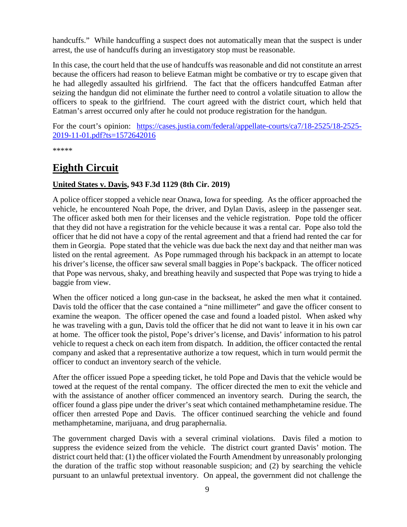handcuffs." While handcuffing a suspect does not automatically mean that the suspect is under arrest, the use of handcuffs during an investigatory stop must be reasonable.

In this case, the court held that the use of handcuffs was reasonable and did not constitute an arrest because the officers had reason to believe Eatman might be combative or try to escape given that he had allegedly assaulted his girlfriend. The fact that the officers handcuffed Eatman after seizing the handgun did not eliminate the further need to control a volatile situation to allow the officers to speak to the girlfriend. The court agreed with the district court, which held that Eatman's arrest occurred only after he could not produce registration for the handgun.

For the court's opinion: [https://cases.justia.com/federal/appellate-courts/ca7/18-2525/18-2525-](https://cases.justia.com/federal/appellate-courts/ca7/18-2525/18-2525-2019-11-01.pdf?ts=1572642016) [2019-11-01.pdf?ts=1572642016](https://cases.justia.com/federal/appellate-courts/ca7/18-2525/18-2525-2019-11-01.pdf?ts=1572642016)

\*\*\*\*\*

## <span id="page-8-0"></span>**Eighth Circuit**

### <span id="page-8-1"></span>**United States v. Davis, 943 F.3d 1129 (8th Cir. 2019)**

A police officer stopped a vehicle near Onawa, Iowa for speeding. As the officer approached the vehicle, he encountered Noah Pope, the driver, and Dylan Davis, asleep in the passenger seat. The officer asked both men for their licenses and the vehicle registration. Pope told the officer that they did not have a registration for the vehicle because it was a rental car. Pope also told the officer that he did not have a copy of the rental agreement and that a friend had rented the car for them in Georgia. Pope stated that the vehicle was due back the next day and that neither man was listed on the rental agreement. As Pope rummaged through his backpack in an attempt to locate his driver's license, the officer saw several small baggies in Pope's backpack. The officer noticed that Pope was nervous, shaky, and breathing heavily and suspected that Pope was trying to hide a baggie from view.

When the officer noticed a long gun-case in the backseat, he asked the men what it contained. Davis told the officer that the case contained a "nine millimeter" and gave the officer consent to examine the weapon. The officer opened the case and found a loaded pistol. When asked why he was traveling with a gun, Davis told the officer that he did not want to leave it in his own car at home. The officer took the pistol, Pope's driver's license, and Davis' information to his patrol vehicle to request a check on each item from dispatch. In addition, the officer contacted the rental company and asked that a representative authorize a tow request, which in turn would permit the officer to conduct an inventory search of the vehicle.

After the officer issued Pope a speeding ticket, he told Pope and Davis that the vehicle would be towed at the request of the rental company. The officer directed the men to exit the vehicle and with the assistance of another officer commenced an inventory search. During the search, the officer found a glass pipe under the driver's seat which contained methamphetamine residue. The officer then arrested Pope and Davis. The officer continued searching the vehicle and found methamphetamine, marijuana, and drug paraphernalia.

The government charged Davis with a several criminal violations. Davis filed a motion to suppress the evidence seized from the vehicle. The district court granted Davis' motion. The district court held that: (1) the officer violated the Fourth Amendment by unreasonably prolonging the duration of the traffic stop without reasonable suspicion; and (2) by searching the vehicle pursuant to an unlawful pretextual inventory. On appeal, the government did not challenge the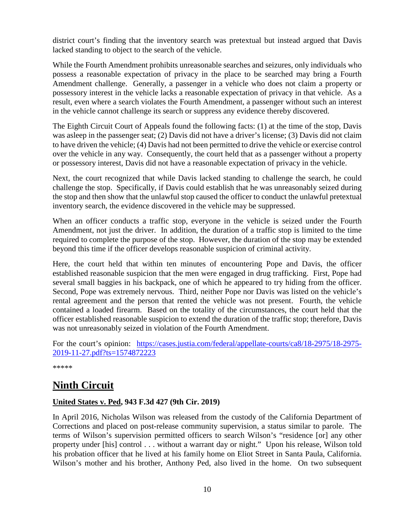district court's finding that the inventory search was pretextual but instead argued that Davis lacked standing to object to the search of the vehicle.

While the Fourth Amendment prohibits unreasonable searches and seizures, only individuals who possess a reasonable expectation of privacy in the place to be searched may bring a Fourth Amendment challenge. Generally, a passenger in a vehicle who does not claim a property or possessory interest in the vehicle lacks a reasonable expectation of privacy in that vehicle. As a result, even where a search violates the Fourth Amendment, a passenger without such an interest in the vehicle cannot challenge its search or suppress any evidence thereby discovered.

The Eighth Circuit Court of Appeals found the following facts: (1) at the time of the stop, Davis was asleep in the passenger seat; (2) Davis did not have a driver's license; (3) Davis did not claim to have driven the vehicle; (4) Davis had not been permitted to drive the vehicle or exercise control over the vehicle in any way. Consequently, the court held that as a passenger without a property or possessory interest, Davis did not have a reasonable expectation of privacy in the vehicle.

Next, the court recognized that while Davis lacked standing to challenge the search, he could challenge the stop. Specifically, if Davis could establish that he was unreasonably seized during the stop and then show that the unlawful stop caused the officer to conduct the unlawful pretextual inventory search, the evidence discovered in the vehicle may be suppressed.

When an officer conducts a traffic stop, everyone in the vehicle is seized under the Fourth Amendment, not just the driver. In addition, the duration of a traffic stop is limited to the time required to complete the purpose of the stop. However, the duration of the stop may be extended beyond this time if the officer develops reasonable suspicion of criminal activity.

Here, the court held that within ten minutes of encountering Pope and Davis, the officer established reasonable suspicion that the men were engaged in drug trafficking. First, Pope had several small baggies in his backpack, one of which he appeared to try hiding from the officer. Second, Pope was extremely nervous. Third, neither Pope nor Davis was listed on the vehicle's rental agreement and the person that rented the vehicle was not present. Fourth, the vehicle contained a loaded firearm. Based on the totality of the circumstances, the court held that the officer established reasonable suspicion to extend the duration of the traffic stop; therefore, Davis was not unreasonably seized in violation of the Fourth Amendment.

For the court's opinion: [https://cases.justia.com/federal/appellate-courts/ca8/18-2975/18-2975-](https://cases.justia.com/federal/appellate-courts/ca8/18-2975/18-2975-2019-11-27.pdf?ts=1574872223) [2019-11-27.pdf?ts=1574872223](https://cases.justia.com/federal/appellate-courts/ca8/18-2975/18-2975-2019-11-27.pdf?ts=1574872223)

\*\*\*\*\*

## <span id="page-9-0"></span>**Ninth Circuit**

### <span id="page-9-1"></span>**United States v. Ped, 943 F.3d 427 (9th Cir. 2019)**

In April 2016, Nicholas Wilson was released from the custody of the California Department of Corrections and placed on post-release community supervision, a status similar to parole. The terms of Wilson's supervision permitted officers to search Wilson's "residence [or] any other property under [his] control . . . without a warrant day or night." Upon his release, Wilson told his probation officer that he lived at his family home on Eliot Street in Santa Paula, California. Wilson's mother and his brother, Anthony Ped, also lived in the home. On two subsequent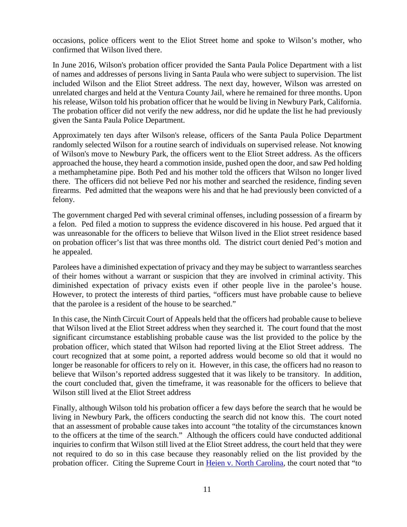occasions, police officers went to the Eliot Street home and spoke to Wilson's mother, who confirmed that Wilson lived there.

In June 2016, Wilson's probation officer provided the Santa Paula Police Department with a list of names and addresses of persons living in Santa Paula who were subject to supervision. The list included Wilson and the Eliot Street address. The next day, however, Wilson was arrested on unrelated charges and held at the Ventura County Jail, where he remained for three months. Upon his release, Wilson told his probation officer that he would be living in Newbury Park, California. The probation officer did not verify the new address, nor did he update the list he had previously given the Santa Paula Police Department.

Approximately ten days after Wilson's release, officers of the Santa Paula Police Department randomly selected Wilson for a routine search of individuals on supervised release. Not knowing of Wilson's move to Newbury Park, the officers went to the Eliot Street address. As the officers approached the house, they heard a commotion inside, pushed open the door, and saw Ped holding a methamphetamine pipe. Both Ped and his mother told the officers that Wilson no longer lived there. The officers did not believe Ped nor his mother and searched the residence, finding seven firearms. Ped admitted that the weapons were his and that he had previously been convicted of a felony.

The government charged Ped with several criminal offenses, including possession of a firearm by a felon. Ped filed a motion to suppress the evidence discovered in his house. Ped argued that it was unreasonable for the officers to believe that Wilson lived in the Eliot street residence based on probation officer's list that was three months old. The district court denied Ped's motion and he appealed.

Parolees have a diminished expectation of privacy and they may be subject to warrantless searches of their homes without a warrant or suspicion that they are involved in criminal activity. This diminished expectation of privacy exists even if other people live in the parolee's house. However, to protect the interests of third parties, "officers must have probable cause to believe that the parolee is a resident of the house to be searched."

In this case, the Ninth Circuit Court of Appeals held that the officers had probable cause to believe that Wilson lived at the Eliot Street address when they searched it. The court found that the most significant circumstance establishing probable cause was the list provided to the police by the probation officer, which stated that Wilson had reported living at the Eliot Street address. The court recognized that at some point, a reported address would become so old that it would no longer be reasonable for officers to rely on it. However, in this case, the officers had no reason to believe that Wilson's reported address suggested that it was likely to be transitory. In addition, the court concluded that, given the timeframe, it was reasonable for the officers to believe that Wilson still lived at the Eliot Street address

Finally, although Wilson told his probation officer a few days before the search that he would be living in Newbury Park, the officers conducting the search did not know this. The court noted that an assessment of probable cause takes into account "the totality of the circumstances known to the officers at the time of the search." Although the officers could have conducted additional inquiries to confirm that Wilson still lived at the Eliot Street address, the court held that they were not required to do so in this case because they reasonably relied on the list provided by the probation officer. Citing the Supreme Court in [Heien v. North Carolina,](https://www.oyez.org/cases/2014/13-604) the court noted that "to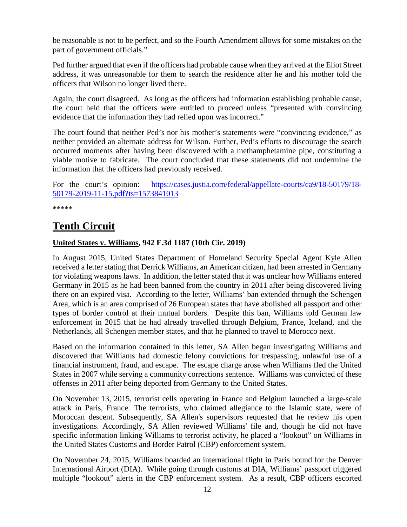be reasonable is not to be perfect, and so the Fourth Amendment allows for some mistakes on the part of government officials."

Ped further argued that even if the officers had probable cause when they arrived at the Eliot Street address, it was unreasonable for them to search the residence after he and his mother told the officers that Wilson no longer lived there.

Again, the court disagreed. As long as the officers had information establishing probable cause, the court held that the officers were entitled to proceed unless "presented with convincing evidence that the information they had relied upon was incorrect."

The court found that neither Ped's nor his mother's statements were "convincing evidence," as neither provided an alternate address for Wilson. Further, Ped's efforts to discourage the search occurred moments after having been discovered with a methamphetamine pipe, constituting a viable motive to fabricate. The court concluded that these statements did not undermine the information that the officers had previously received.

For the court's opinion: [https://cases.justia.com/federal/appellate-courts/ca9/18-50179/18-](https://cases.justia.com/federal/appellate-courts/ca9/18-50179/18-50179-2019-11-15.pdf?ts=1573841013) [50179-2019-11-15.pdf?ts=1573841013](https://cases.justia.com/federal/appellate-courts/ca9/18-50179/18-50179-2019-11-15.pdf?ts=1573841013)

\*\*\*\*\*

## <span id="page-11-0"></span>**Tenth Circuit**

### <span id="page-11-1"></span>**United States v. Williams, 942 F.3d 1187 (10th Cir. 2019)**

In August 2015, United States Department of Homeland Security Special Agent Kyle Allen received a letter stating that Derrick Williams, an American citizen, had been arrested in Germany for violating weapons laws. In addition, the letter stated that it was unclear how Williams entered Germany in 2015 as he had been banned from the country in 2011 after being discovered living there on an expired visa. According to the letter, Williams' ban extended through the Schengen Area, which is an area comprised of 26 European states that have abolished all passport and other types of border control at their mutual borders. Despite this ban, Williams told German law enforcement in 2015 that he had already travelled through Belgium, France, Iceland, and the Netherlands, all Schengen member states, and that he planned to travel to Morocco next.

Based on the information contained in this letter, SA Allen began investigating Williams and discovered that Williams had domestic felony convictions for trespassing, unlawful use of a financial instrument, fraud, and escape. The escape charge arose when Williams fled the United States in 2007 while serving a community corrections sentence. Williams was convicted of these offenses in 2011 after being deported from Germany to the United States.

On November 13, 2015, terrorist cells operating in France and Belgium launched a large-scale attack in Paris, France. The terrorists, who claimed allegiance to the Islamic state, were of Moroccan descent. Subsequently, SA Allen's supervisors requested that he review his open investigations. Accordingly, SA Allen reviewed Williams' file and, though he did not have specific information linking Williams to terrorist activity, he placed a "lookout" on Williams in the United States Customs and Border Patrol (CBP) enforcement system.

On November 24, 2015, Williams boarded an international flight in Paris bound for the Denver International Airport (DIA). While going through customs at DIA, Williams' passport triggered multiple "lookout" alerts in the CBP enforcement system. As a result, CBP officers escorted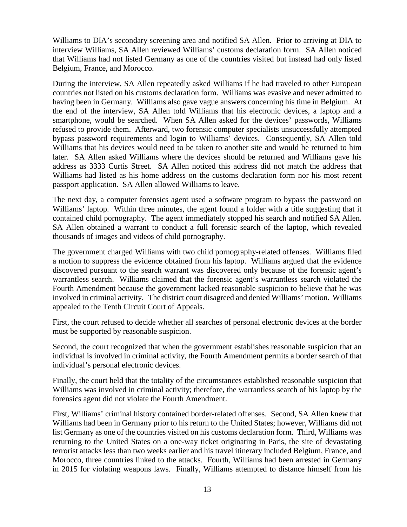Williams to DIA's secondary screening area and notified SA Allen. Prior to arriving at DIA to interview Williams, SA Allen reviewed Williams' customs declaration form. SA Allen noticed that Williams had not listed Germany as one of the countries visited but instead had only listed Belgium, France, and Morocco.

During the interview, SA Allen repeatedly asked Williams if he had traveled to other European countries not listed on his customs declaration form. Williams was evasive and never admitted to having been in Germany. Williams also gave vague answers concerning his time in Belgium. At the end of the interview, SA Allen told Williams that his electronic devices, a laptop and a smartphone, would be searched. When SA Allen asked for the devices' passwords, Williams refused to provide them. Afterward, two forensic computer specialists unsuccessfully attempted bypass password requirements and login to Williams' devices. Consequently, SA Allen told Williams that his devices would need to be taken to another site and would be returned to him later. SA Allen asked Williams where the devices should be returned and Williams gave his address as 3333 Curtis Street. SA Allen noticed this address did not match the address that Williams had listed as his home address on the customs declaration form nor his most recent passport application. SA Allen allowed Williams to leave.

The next day, a computer forensics agent used a software program to bypass the password on Williams' laptop. Within three minutes, the agent found a folder with a title suggesting that it contained child pornography. The agent immediately stopped his search and notified SA Allen. SA Allen obtained a warrant to conduct a full forensic search of the laptop, which revealed thousands of images and videos of child pornography.

The government charged Williams with two child pornography-related offenses. Williams filed a motion to suppress the evidence obtained from his laptop. Williams argued that the evidence discovered pursuant to the search warrant was discovered only because of the forensic agent's warrantless search. Williams claimed that the forensic agent's warrantless search violated the Fourth Amendment because the government lacked reasonable suspicion to believe that he was involved in criminal activity. The district court disagreed and denied Williams' motion. Williams appealed to the Tenth Circuit Court of Appeals.

First, the court refused to decide whether all searches of personal electronic devices at the border must be supported by reasonable suspicion.

Second, the court recognized that when the government establishes reasonable suspicion that an individual is involved in criminal activity, the Fourth Amendment permits a border search of that individual's personal electronic devices.

Finally, the court held that the totality of the circumstances established reasonable suspicion that Williams was involved in criminal activity; therefore, the warrantless search of his laptop by the forensics agent did not violate the Fourth Amendment.

First, Williams' criminal history contained border-related offenses. Second, SA Allen knew that Williams had been in Germany prior to his return to the United States; however, Williams did not list Germany as one of the countries visited on his customs declaration form. Third, Williams was returning to the United States on a one-way ticket originating in Paris, the site of devastating terrorist attacks less than two weeks earlier and his travel itinerary included Belgium, France, and Morocco, three countries linked to the attacks. Fourth, Williams had been arrested in Germany in 2015 for violating weapons laws. Finally, Williams attempted to distance himself from his